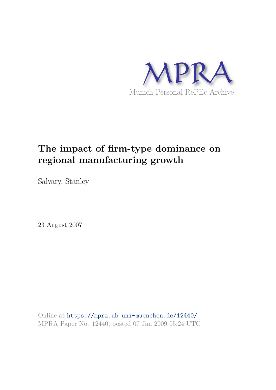

# **The impact of firm-type dominance on regional manufacturing growth**

Salvary, Stanley

23 August 2007

Online at https://mpra.ub.uni-muenchen.de/12440/ MPRA Paper No. 12440, posted 07 Jan 2009 05:24 UTC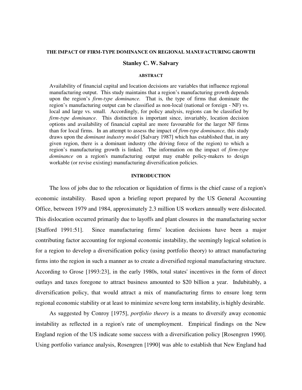#### **THE IMPACT OF FIRM-TYPE DOMINANCE ON REGIONAL MANUFACTURING GROWTH**

#### **Stanley C. W. Salvary**

#### **ABSTRACT**

Availability of financial capital and location decisions are variables that influence regional manufacturing output. This study maintains that a region's manufacturing growth depends upon the region's *firm-type dominance.* That is*,* the type of firms that dominate the region's manufacturing output can be classified as non-local (national or foreign - NF) vs. local and large vs. small. Accordingly, for policy analysis, regions can be classified by *firm-type dominance*. This distinction is important since, invariably, location decision options and availability of financial capital are more favourable for the larger NF firms than for local firms. In an attempt to assess the impact of *firm-type dominance,* this study draws upon the *dominant industry model* [Salvary 1987] which has established that, in any given region, there is a dominant industry (the driving force of the region) to which a region's manufacturing growth is linked. The information on the impact of *firm-type dominance* on a region's manufacturing output may enable policy-makers to design workable (or revise existing) manufacturing diversification policies.

#### **INTRODUCTION**

The loss of jobs due to the relocation or liquidation of firms is the chief cause of a region's economic instability. Based upon a briefing report prepared by the US General Accounting Office, between 1979 and 1984, approximately 2.3 million US workers annually were dislocated. This dislocation occurred primarily due to layoffs and plant closures in the manufacturing sector [Stafford 1991:51]. Since manufacturing firms' location decisions have been a major contributing factor accounting for regional economic instability, the seemingly logical solution is for a region to develop a diversification policy (using portfolio theory) to attract manufacturing firms into the region in such a manner as to create a diversified regional manufacturing structure. According to Grose [1993:23], in the early 1980s, total states' incentives in the form of direct outlays and taxes foregone to attract business amounted to \$20 billion a year. Indubitably, a diversification policy, that would attract a mix of manufacturing firms to ensure long term regional economic stability or at least to minimize severe long term instability, is highly desirable.

As suggested by Conroy [1975], *portfolio theory* is a means to diversify away economic instability as reflected in a region's rate of unemployment. Empirical findings on the New England region of the US indicate some success with a diversification policy [Rosengren 1990]. Using portfolio variance analysis, Rosengren [1990] was able to establish that New England had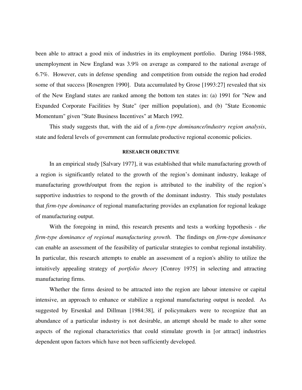been able to attract a good mix of industries in its employment portfolio. During 1984-1988, unemployment in New England was 3.9% on average as compared to the national average of 6.7%. However, cuts in defense spending and competition from outside the region had eroded some of that success [Rosengren 1990]. Data accumulated by Grose [1993:27] revealed that six of the New England states are ranked among the bottom ten states in: (a) 1991 for "New and Expanded Corporate Facilities by State" (per million population), and (b) "State Economic Momentum" given "State Business Incentives" at March 1992.

This study suggests that, with the aid of a *firm-type dominance/industry region analysis*, state and federal levels of government can formulate productive regional economic policies.

## **RESEARCH OBJECTIVE**

In an empirical study [Salvary 1977], it was established that while manufacturing growth of a region is significantly related to the growth of the region's dominant industry, leakage of manufacturing growth/output from the region is attributed to the inability of the region's supportive industries to respond to the growth of the dominant industry. This study postulates that *firm-type dominance* of regional manufacturing provides an explanation for regional leakage of manufacturing output.

With the foregoing in mind, this research presents and tests a working hypothesis - *the firm-type dominance of regional manufacturing growth*. The findings on *firm-type dominance*  can enable an assessment of the feasibility of particular strategies to combat regional instability. In particular, this research attempts to enable an assessment of a region's ability to utilize the intuitively appealing strategy of *portfolio theory* [Conroy 1975] in selecting and attracting manufacturing firms.

Whether the firms desired to be attracted into the region are labour intensive or capital intensive, an approach to enhance or stabilize a regional manufacturing output is needed. As suggested by Ersenkal and Dillman [1984:38], if policymakers were to recognize that an abundance of a particular industry is not desirable, an attempt should be made to alter some aspects of the regional characteristics that could stimulate growth in [or attract] industries dependent upon factors which have not been sufficiently developed.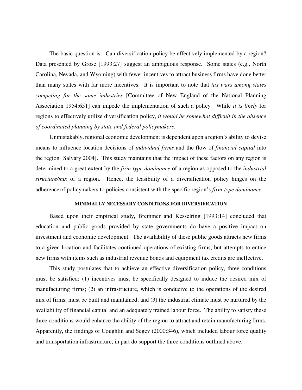The basic question is: Can diversification policy be effectively implemented by a region? Data presented by Grose [1993:27] suggest an ambiguous response. Some states (e.g., North Carolina, Nevada, and Wyoming) with fewer incentives to attract business firms have done better than many states with far more incentives. It is important to note that *tax wars among states competing for the same industries* [Committee of New England of the National Planning Association 1954:651] can impede the implementation of such a policy. While *it is likely* for regions to effectively utilize diversification policy, *it would be somewhat difficult in the absence of coordinated planning by state and federal policymakers*.

Unmistakably, regional economic development is dependent upon a region's ability to devise means to influence location decisions of *individual firms* and the flow of *financial capital* into the region [Salvary 2004]. This study maintains that the impact of these factors on any region is determined to a great extent by the *firm-type dominance* of a region as opposed to the *industrial structure/mix* of a region. Hence, the feasibility of a diversification policy hinges on the adherence of policymakers to policies consistent with the specific region's *firm-type dominance*.

## **MINIMALLY NECESSARY CONDITIONS FOR DIVERSIFICATION**

Based upon their empirical study, Bremmer and Kesselring [1993:14] concluded that education and public goods provided by state governments do have a positive impact on investment and economic development. The availability of these public goods attracts new firms to a given location and facilitates continued operations of existing firms, but attempts to entice new firms with items such as industrial revenue bonds and equipment tax credits are ineffective.

This study postulates that to achieve an effective diversification policy, three conditions must be satisfied: (1) incentives must be specifically designed to induce the desired mix of manufacturing firms; (2) an infrastructure, which is conducive to the operations of the desired mix of firms, must be built and maintained; and (3) the industrial climate must be nurtured by the availability of financial capital and an adequately trained labour force. The ability to satisfy these three conditions would enhance the ability of the region to attract and retain manufacturing firms. Apparently, the findings of Coughlin and Segev (2000:346), which included labour force quality and transportation infrastructure, in part do support the three conditions outlined above.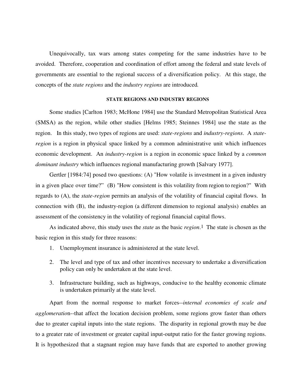Unequivocally, tax wars among states competing for the same industries have to be avoided. Therefore, cooperation and coordination of effort among the federal and state levels of governments are essential to the regional success of a diversification policy. At this stage, the concepts of the *state regions* and the *industry regions* are introduced*.*

## **STATE REGIONS AND INDUSTRY REGIONS**

Some studies [Carlton 1983; McHone 1984] use the Standard Metropolitan Statistical Area (SMSA) as the region, while other studies [Helms 1985; Steinnes 1984] use the state as the region. In this study, two types of regions are used: *state-regions* and *industry-regions*. A *stateregion* is a region in physical space linked by a common administrative unit which influences economic development. An *industry-region* is a region in economic space linked by a *common dominant industry* which influences regional manufacturing growth [Salvary 1977].

Gertler [1984:74] posed two questions: (A) "How volatile is investment in a given industry in a given place over time?" (B) "How consistent is this volatility from region to region?" With regards to (A), the *state-region* permits an analysis of the volatility of financial capital flows. In connection with (B), the industry-region (a different dimension to regional analysis) enables an assessment of the consistency in the volatility of regional financial capital flows.

As indicated above, this study uses the *state* as the basic *region*.1 The state is chosen as the basic region in this study for three reasons:

- 1. Unemployment insurance is administered at the state level.
- 2. The level and type of tax and other incentives necessary to undertake a diversification policy can only be undertaken at the state level.
- 3. Infrastructure building, such as highways, conducive to the healthy economic climate is undertaken primarily at the state level.

Apart from the normal response to market forces--*internal economies of scale and agglomeratio*n--that affect the location decision problem, some regions grow faster than others due to greater capital inputs into the state regions. The disparity in regional growth may be due to a greater rate of investment or greater capital input-output ratio for the faster growing regions. It is hypothesized that a stagnant region may have funds that are exported to another growing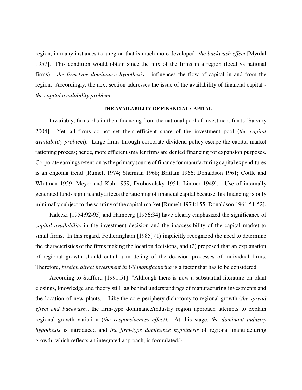region, in many instances to a region that is much more developed--*the backwash effect* [Myrdal 1957]. This condition would obtain since the mix of the firms in a region (local vs national firms) - *the firm-type dominance hypothesis -* influences the flow of capital in and from the region. Accordingly, the next section addresses the issue of the availability of financial capital *the capital availability problem*.

## **THE AVAILABILITY OF FINANCIAL CAPITAL**

Invariably, firms obtain their financing from the national pool of investment funds [Salvary 2004]. Yet, all firms do not get their efficient share of the investment pool (*the capital availability problem*). Large firms through corporate dividend policy escape the capital market rationing process; hence, more efficient smaller firms are denied financing for expansion purposes. Corporate earnings retention as the primary source of finance for manufacturing capital expenditures is an ongoing trend [Rumelt 1974; Sherman 1968; Brittain 1966; Donaldson 1961; Cottle and Whitman 1959; Meyer and Kuh 1959; Drobovolsky 1951; Lintner 1949]. Use of internally generated funds significantly affects the rationing of financial capital because this financing is only minimally subject to the scrutinyofthe capital market [Rumelt 1974:155; Donaldson 1961:51-52].

Kalecki [1954:92-95] and Hamberg [1956:34] have clearly emphasized the significance of *capital availability* in the investment decision and the inaccessibility of the capital market to small firms. In this regard, Fotheringham [1985] (1) implicitly recognized the need to determine the characteristics of the firms making the location decisions, and (2) proposed that an explanation of regional growth should entail a modeling of the decision processes of individual firms. Therefore, *foreign direct investment in US manufacturing* is a factor that has to be considered.

According to Stafford [1991:51]: "Although there is now a substantial literature on plant closings, knowledge and theory still lag behind understandings of manufacturing investments and the location of new plants." Like the core-periphery dichotomy to regional growth (*the spread effect and backwash),* the firm-type dominance/industry region approach attempts to explain regional growth variation (*the responsiveness effect)*. At this stage, *the dominant industry hypothesis* is introduced and *the firm-type dominance hypothesis* of regional manufacturing growth, which reflects an integrated approach, is formulated.2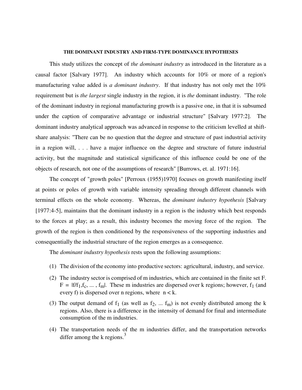#### **THE DOMINANT INDUSTRY AND FIRM-TYPE DOMINANCE HYPOTHESES**

This study utilizes the concept of *the dominant industry* as introduced in the literature as a causal factor [Salvary 1977]. An industry which accounts for 10% or more of a region's manufacturing value added is *a dominant industry*. If that industry has not only met the 10% requirement but is *the largest* single industry in the region, it is *the* dominant industry. "The role of the dominant industry in regional manufacturing growth is a passive one, in that it is subsumed under the caption of comparative advantage or industrial structure" [Salvary 1977:2]. The dominant industry analytical approach was advanced in response to the criticism levelled at shiftshare analysis: "There can be no question that the degree and structure of past industrial activity in a region will, . . . have a major influence on the degree and structure of future industrial activity, but the magnitude and statistical significance of this influence could be one of the objects of research, not one of the assumptions of research" [Burrows, et. al. 1971:16].

The concept of "growth poles" [Perroux (1955)1970] focuses on growth manifesting itself at points or poles of growth with variable intensity spreading through different channels with terminal effects on the whole economy. Whereas, the *dominant industry hypothesis* [Salvary [1977:4-5], maintains that the dominant industry in a region is the industry which best responds to the forces at play; as a result, this industry becomes the moving force of the region. The growth of the region is then conditioned by the responsiveness of the supporting industries and consequentially the industrial structure of the region emerges as a consequence.

The *dominant industry hypothesis* rests upon the following assumptions:

- (1) The division of the economy into productive sectors: agricultural, industry, and service.
- (2) The industry sector is comprised of m industries, which are contained in the finite set F.  $F = |f/f_1, f_c, \dots, f_m|$ . These m industries are dispersed over k regions; however, f<sub>1</sub> (and every f) is dispersed over n regions, where  $n < k$ .
- (3) The output demand of  $f_1$  (as well as  $f_2$ , ...  $f_m$ ) is not evenly distributed among the k regions. Also, there is a difference in the intensity of demand for final and intermediate consumption of the m industries.
- (4) The transportation needs of the m industries differ, and the transportation networks differ among the  $k$  regions.<sup>3</sup>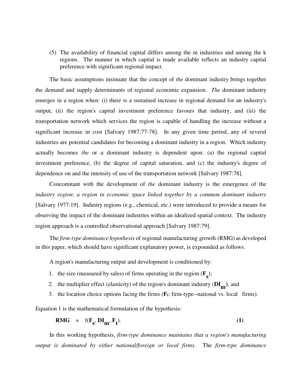(5) The availability of financial capital differs among the m industries and among the k regions. The manner in which capital is made available reflects an industry capital preference with significant regional impact.

The basic assumptions insinuate that the concept of *the* dominant industry brings together the demand and supply determinants of regional economic expansion. *The* dominant industry emerges in a region when: (i) there is a sustained increase in regional demand for an industry's output, (ii) the region's capital investment preference favours that industry, and (iii) the transportation network which services the region is capable of handling the increase without a significant increase in cost [Salvary 1987:77-78]. In any given time period, any of several industries are potential candidates for becoming a dominant industry in a region. Which industry actually becomes *the* or *a* dominant industry is dependent upon: (a) the regional capital investment preference, (b) the degree of capital saturation, and (c) the industry's degree of dependence on and the intensity of use of the transportation network [Salvary 1987:78].

Concomitant with the development of *the* dominant industry is the emergence of the *industry region*: *a region in economic space linked together by a common dominant industry*  [Salvary 1977:19]. Industry regions (e.g., chemical, etc.) were introduced to provide a means for observing the impact of the dominant industries within an idealized spatial context. The industry region approach is a controlled observational approach [Salvary 1987:79].

The *firm-type dominance hypothesis* of regional manufacturing growth (RMG) as developed in this paper, which should have significant explanatory power, is expounded as follows.

A region's manufacturing output and development is conditioned by:

- 1. the size (measured by sales) of firms operating in the region  $(\mathbf{F}_{\mathbf{s}})$ ;
- 2. the multiplier effect (elasticity) of the region's dominant industry (**DI m** ), and
- 3. the location choice options facing the firms (**Ft**: firm-type--national vs. local firms).

Equation 1 is the mathematical formulation of the hypothesis:

$$
RMG = f(F_s, DI_m, F_t). \tag{1}
$$

In this working hypothesis, *firm-type dominance maintains that a region's manufacturing output is dominated by either national/foreign or local firms*. The *firm-type dominance*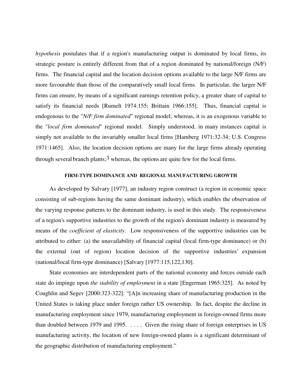*hypothesis* postulates that if a region's manufacturing output is dominated by local firms, its strategic posture is entirely different from that of a region dominated by national/foreign (N/F) firms. The financial capital and the location decision options available to the large N/F firms are more favourable than those of the comparatively small local firms. In particular, the larger N/F firms can ensure, by means of a significant earnings retention policy, a greater share of capital to satisfy its financial needs [Rumelt 1974:155; Brittain 1966:155]. Thus, financial capital is endogenous to the "*N/F firm dominated*" regional model; whereas, it is an exogenous variable to the "*local firm dominated*" regional model. Simply understood, in many instances capital is simply not available to the invariably smaller local firms [Hamberg 1971:32-34; U.S. Congress 1971:1465]. Also, the location decision options are many for the large firms already operating through several branch plants;  $3$  whereas, the options are quite few for the local firms.

#### **FIRM-TYPE DOMINANCE AND REGIONAL MANUFACTURING GROWTH**

As developed by Salvary [1977], an industry region construct (a region in economic space consisting of sub-regions having the same dominant industry), which enables the observation of the varying response patterns to the dominant industry, is used in this study. The responsiveness of a region's supportive industries to the growth of the region's dominant industry is measured by means of the *coefficient of elasticity*. Low responsiveness of the supportive industries can be attributed to either: (a) the unavailability of financial capital (local firm-type dominance) or (b) the external (out of region) location decision of the supportive industries' expansion (national/local firm-type dominance) [Salvary [1977:115,122,130].

State economies are interdependent parts of the national economy and forces outside each state do impinge upon *the stability of employment* in a state [Engerman 1965:325]. As noted by Coughlin and Segev [2000:323-322]: "[A]n increasing share of manufacturing production in the United States is taking place under foreign rather US ownership. In fact, despite the decline in manufacturing employment since 1979, manufacturing employment in foreign-owned firms more than doubled between 1979 and 1995. . . . . Given the rising share of foreign enterprises in US manufacturing activity, the location of new foreign-owned plants is a significant determinant of the geographic distribution of manufacturing employment."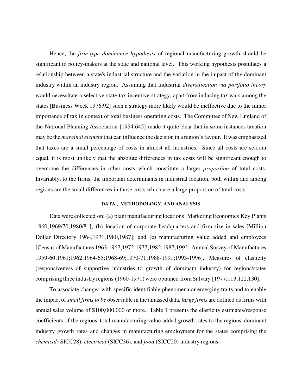Hence, the *firm-type dominance hypothesis* of regional manufacturing growth should be significant to policy-makers at the state and national level. This working hypothesis postulates a relationship between a state's industrial structure and the variation in the impact of the dominant industry within an industry region. Assuming that industrial *diversification via portfolio theory*  would necessitate a selective state tax incentive strategy, apart from inducing tax wars among the states[Business Week 1976:92] such a strategy more likely would be ineffective due to the minor importance of tax in context of total business operating costs. The Committee of New England of the National Planning Association [1954:645] made it quite clear that in some instances taxation may be the *marginal element* that can influence the decision in a region'sfavour. It was emphasized that taxes are a small percentage of costs in almost all industries. Since all costs are seldom equal, it is most unlikely that the absolute differences in tax costs will be significant enough to overcome the differences in other costs which constitute a larger *proportion* of total costs. Invariably, to the firms, the important determinants in industrial location, both within and among regions are the small differences in those costs which are a large proportion of total costs.

#### **DATA , METHODOLOGY, AND ANALYSIS**

Data were collected on: (a) plant manufacturing locations[Marketing Economics Key Plants 1960;1969/70;1980/81]; (b) location of corporate headquarters and firm size in sales [Million Dollar Directory 1964,1971,1980,1987]; and (c) manufacturing value added and employees [Census of Manufactures 1963;1967;1972;1977;1982;1987;1992. Annual Survey of Manufactures 1959-60;1961;1962;1964-65;1968-69;1970-71;1988-1991;1993-1996]. Measures of elasticity (responsiveness of supportive industries to growth of dominant industry) for regions/states comprising three industry regions (1960-1971) were obtained from Salvary [1977:113,122,130].

To associate changes with specific identifiable phenomena or emerging traits and to enable the impact of *small firms to be o*bservable in the amassed data, *large firms* are defined asfirms with annual sales volume of \$100,000,000 or more. Table 1 presents the elasticity estimates/response coefficients of the regions' total manufacturing value added growth rates to the regions' dominant industry growth rates and changes in manufacturing employment for the states comprising the *chemical* (SICC28), *electrical* (SICC36), and *food* (SICC20) industry regions.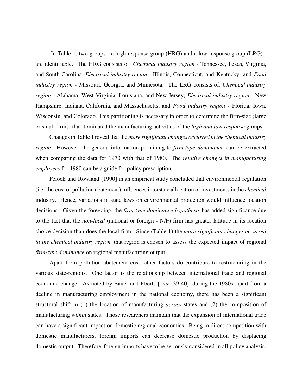In Table 1, two groups - a high response group (HRG) and a low response group (LRG) are identifiable. The HRG consists of: *Chemical industry region* - Tennessee, Texas, Virginia, and South Carolina; *Electrical industry region* - Illinois, Connecticut, and Kentucky; and *Food industry region* - Missouri, Georgia, and Minnesota. The LRG consists of: *Chemical industry region -* Alabama, West Virginia, Louisiana, and New Jersey; *Electrical industry region -* New Hampshire, Indiana, California, and Massachusetts; and *Food industry region -* Florida, Iowa, Wisconsin, and Colorado. This partitioning is necessary in order to determine the firm-size (large or small firms) that dominated the manufacturing activities of the *high and low response* groups.

Changesin Table 1 reveal that the *more significant changes occurred in the chemical industry region*. However, the general information pertaining to *firm-type dominance* can be extracted when comparing the data for 1970 with that of 1980. The *relative changes in manufacturing employees* for 1980 can be a guide for policy prescription.

Feiock and Rowland [1990] in an empirical study concluded that environmental regulation (i.e, the cost of pollution abatement) influences interstate allocation of investments in the *chemical* industry. Hence, variations in state laws on environmental protection would influence location decisions. Given the foregoing, the *firm-type dominance hypothesis* has added significance due to the fact that the *non-local* (national or foreign - N/F) firm has greater latitude in its location choice decision than does the local firm. Since (Table 1) the *more significant changes occurred in the chemical industry region,* that region is chosen to assess the expected impact of regional *firm-type dominance* on regional manufacturing output.

Apart from pollution abatement cost, other factors do contribute to restructuring in the various state-regions. One factor is the relationship between international trade and regional economic change. As noted by Bauer and Eberts [1990:39-40], during the 1980s, apart from a decline in manufacturing employment in the national economy, there has been a significant structural shift in (1) the location of manufacturing *across* states and (2) the composition of manufacturing *within* states. Those researchers maintain that the expansion of international trade can have a significant impact on domestic regional economies. Being in direct competition with domestic manufacturers, foreign imports can decrease domestic production by displacing domestic output. Therefore, foreign imports have to be seriously considered in all policy analysis.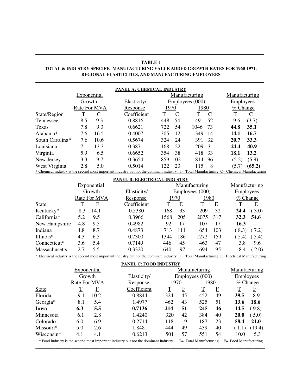### **TABLE 1 TOTAL & INDUSTRY SPECIFIC MANUFACTURING VALUE ADDED GROWTH RATES FOR 1960-1971, REGIONAL ELASTICITIES, AND MANUFACTURING EMPLOYEES**

**\_\_\_\_\_\_\_\_\_\_\_\_\_\_\_\_\_\_\_\_\_\_\_\_\_\_\_\_\_\_\_\_\_\_\_\_\_\_\_\_\_\_\_\_\_\_\_\_\_\_\_\_\_\_\_\_\_\_\_\_\_\_\_\_\_\_\_\_\_\_\_\_\_\_\_\_\_\_\_\_\_\_\_\_\_\_\_\_\_\_\_\_**

**\_\_\_\_\_\_\_\_\_\_\_\_\_\_\_\_\_\_\_\_\_\_\_\_\_\_\_\_\_\_\_\_\_\_\_\_\_\_\_\_\_\_\_\_\_\_\_\_\_\_\_\_\_\_\_\_\_\_\_\_\_\_\_\_\_\_\_\_\_\_\_\_\_\_\_\_\_\_\_\_\_\_\_\_\_\_\_\_\_\_\_\_**

| PANEL A: CHEMICAL INDUSTRY |              |      |                                                                                                                                           |             |     |                               |               |                          |  |
|----------------------------|--------------|------|-------------------------------------------------------------------------------------------------------------------------------------------|-------------|-----|-------------------------------|---------------|--------------------------|--|
|                            | Exponential  |      |                                                                                                                                           |             |     | Manufacturing                 | Manufacturing |                          |  |
|                            | Growth       |      | Elasticity/                                                                                                                               |             |     | Employees (000)               | Employees     |                          |  |
|                            | Rate For MVA |      | Response                                                                                                                                  | 1970        |     | 1980                          | $% Change$    |                          |  |
| State/Region               | $\mathbf T$  |      | Coefficient                                                                                                                               | $\mathbf T$ |     | $\mathbf T$<br>$\overline{C}$ |               | $\underline{\mathsf{C}}$ |  |
| Tennessee                  | 8.5          | 9.3  | 0.8816                                                                                                                                    | 448         | 54  | 52<br>491                     | 9.6           | (3.7)                    |  |
| Texas                      | 7.8          | 9.3  | 0.6621                                                                                                                                    | 722         | 54  | 1046<br>-73                   | 44.8          | 35.1                     |  |
| Alabama*                   | 7.6          | 16.5 | 0.4007                                                                                                                                    | 305         | 12  | 349<br>14                     | 14.1          | 16.7                     |  |
| South Carolina*            | 7.6          | 10.6 | 0.5674                                                                                                                                    | 324         | 24  | 32<br>391                     | 20.7          | 33.3                     |  |
| Louisiana                  | 7.1          | 13.3 | 0.3871                                                                                                                                    | 168         | 22  | 209<br>31                     | 24.4          | 40.9                     |  |
| Virginia                   | 5.9          | 6.5  | 0.6652                                                                                                                                    | 354         | 38  | 418<br>-33                    | 18.1          | 13.2                     |  |
| New Jersey                 | 3.3          | 9.7  | 0.3654                                                                                                                                    | 859         | 102 | 96<br>814                     | (5.2)         | (5.9)                    |  |
| West Virginia              | 2.8          | 5.0  | 0.5014                                                                                                                                    | 122         | 23  | 8<br>115                      | (5.7)         | (65.2)                   |  |
|                            |              |      | * Chemical industry is the second most important industry but not the dominant industry. T= Total Manufacturing C= Chemical Manufacturing |             |     |                               |               |                          |  |

#### **PANEL B: ELECTRICAL INDUSTRY**

|                      | Exponential  |      |             |      |                 | Manufacturing |                         |           |            |  |
|----------------------|--------------|------|-------------|------|-----------------|---------------|-------------------------|-----------|------------|--|
|                      | Growth       |      | Elasticity/ |      | Employees (000) |               |                         | Employees |            |  |
|                      | Rate For MVA |      | Response    |      | 1970            |               | 1980                    |           | $% Change$ |  |
| <b>State</b>         | T            | E    | Coefficient | T    | E               | T             | $\overline{\mathrm{E}}$ | T         | E          |  |
| Kentucky*            | 8.3          | 14.1 | 0.5380      | 168  | 33              | 209           | 32                      | 24.4      | (3.0)      |  |
| California*          | 5.2          | 9.5  | 0.3966      | 1568 | 205             | 2075          | 317                     | 32.3      | 54.6       |  |
| New Hampshire        | 4.8          | 9.5  | 0.4982      | 92   | 17              | 107           | 17                      | 16.3      |            |  |
| Indiana              | 4.8          | 8.7  | 0.4873      | 713  | 111             | 654           | 103                     | (8.3)     | (7.2)      |  |
| $III$ inois $*$      | 4.3          | 6.5  | 0.7300      | 1344 | 186             | 1272          | 159                     | (5.4)     | (5.4)      |  |
| Connecticut*         | 3.6          | 5.4  | 0.7149      | 446  | 45              | 463           | 47                      | 3.8       | 9.6        |  |
| <b>Massachusetts</b> | 2.7          | 5.5  | 0.3320      | 640  | 97              | 694           | 95                      | 8.4       | (2.0)      |  |

\* Electrical industry is the second most important industry but not the dominant industry. T= Total Manufacturing E= Electrical Manufacturing

**PANEL C: FOOD INDUSTRY**

| Exponential     |              |             |                                                                                      |     | Manufacturing   |                        |    | Manufacturing         |                         |  |
|-----------------|--------------|-------------|--------------------------------------------------------------------------------------|-----|-----------------|------------------------|----|-----------------------|-------------------------|--|
|                 | Growth       |             | Elasticity/                                                                          |     | Employees (000) |                        |    | <b>Employees</b>      |                         |  |
|                 | Rate For MVA |             | Response                                                                             |     | 1970            | 1980                   |    | % <i>Change</i>       |                         |  |
| <b>State</b>    | T            | $\mathbf F$ | Coefficient                                                                          | T   | F               | T                      | F  |                       | $\overline{\mathrm{E}}$ |  |
| Florida         | 9.1          | 10.2        | 0.8844                                                                               | 324 | 45              | 452                    | 49 | 39.5                  | 8.9                     |  |
| Georgia*        | 8.1          | 5.4         | 1.4977                                                                               | 462 | 43              | 525                    | 51 | 13.6                  | 18.6                    |  |
| Iowa            | 6.3          | 5.5         | 0.7136                                                                               | 214 | 51              | 245                    | 46 | 14.5                  | (9.8)                   |  |
| Minnesota       | 6.1          | 2.8         | 1.4240                                                                               | 320 | 42              | 384                    | 40 | 20.0                  | (5.0)                   |  |
| Colorado        | 6.0          | 6.9         | 0.2714                                                                               | 118 | 19              | 187                    | 23 | 58.4                  | 21.0                    |  |
| $M$ issouri $*$ | 5.0          | 2.6         | 1.8481                                                                               | 444 | 49              | 439                    | 40 | (1.1)                 | (19.4)                  |  |
| Wisconsin*      | 4.1          | 4.1         | 0.6213                                                                               | 501 | 57              | 551                    | 54 | 10.0                  | 5.3                     |  |
|                 |              |             | * Food industry is the second most important industry but not the dominant industry. |     |                 | T= Total Manufacturing |    | F= Food Manufacturing |                         |  |

**\_\_\_\_\_\_\_\_\_\_\_\_\_\_\_\_\_\_\_\_\_\_\_\_\_\_\_\_\_\_\_\_\_\_\_\_\_\_\_\_\_\_\_\_\_\_\_\_\_\_\_\_\_\_\_\_\_\_\_\_\_\_\_\_\_\_\_\_\_\_\_\_\_\_\_\_\_\_\_\_\_\_\_\_\_\_\_\_\_\_\_\_\_\_\_\_\_\_\_\_\_\_**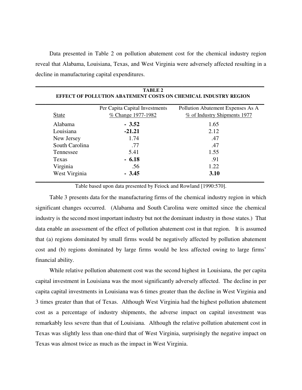Data presented in Table 2 on pollution abatement cost for the chemical industry region reveal that Alabama, Louisiana, Texas, and West Virginia were adversely affected resulting in a decline in manufacturing capital expenditures.

|                | <b>TABLE 2</b><br>EFFECT OF POLLUTION ABATEMENT COSTS ON CHEMICAL INDUSTRY REGION |                                   |
|----------------|-----------------------------------------------------------------------------------|-----------------------------------|
|                | Per Capita Capital Investments                                                    | Pollution Abatement Expenses As A |
| <b>State</b>   | <u>% Change 1977-1982</u>                                                         | % of Industry Shipments 1977      |
| Alabama        | $-3.52$                                                                           | 1.65                              |
| Louisiana      | $-21.21$                                                                          | 2.12                              |
| New Jersey     | 1.74                                                                              | .47                               |
| South Carolina | .77                                                                               | .47                               |
| Tennessee      | 5.41                                                                              | 1.55                              |
| Texas          | $-6.18$                                                                           | .91                               |
| Virginia       | .56                                                                               | 1.22.                             |
| West Virginia  | $-3.45$                                                                           | 3.10                              |

Table based upon data presented by Feiock and Rowland [1990:570].

Table 3 presents data for the manufacturing firms of the chemical industry region in which significant changes occurred. (Alabama and South Carolina were omitted since the chemical industry is the second most important industry but not the dominant industry in those states.) That data enable an assessment of the effect of pollution abatement cost in that region. It is assumed that (a) regions dominated by small firms would be negatively affected by pollution abatement cost and (b) regions dominated by large firms would be less affected owing to large firms' financial ability.

While relative pollution abatement cost was the second highest in Louisiana, the per capita capital investment in Louisiana was the most significantly adversely affected. The decline in per capita capital investments in Louisiana was 6 times greater than the decline in West Virginia and 3 times greater than that of Texas. Although West Virginia had the highest pollution abatement cost as a percentage of industry shipments, the adverse impact on capital investment was remarkably less severe than that of Louisiana. Although the relative pollution abatement cost in Texas was slightly less than one-third that of West Virginia, surprisingly the negative impact on Texas was almost twice as much as the impact in West Virginia.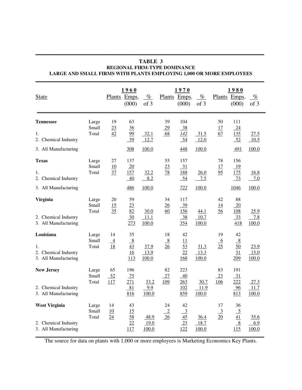| <b>State</b>                                                         |                         |                            | 1960<br>Plants Emps.<br>(000)      | $\%$<br>of 3                 |                             | 1970<br>Plants Emps.<br>(000)                  | $\%$<br>of 3          |                                    | 1980<br>Plants Emps.<br>(000)                               | $\%$<br>of 3          |
|----------------------------------------------------------------------|-------------------------|----------------------------|------------------------------------|------------------------------|-----------------------------|------------------------------------------------|-----------------------|------------------------------------|-------------------------------------------------------------|-----------------------|
| <b>Tennessee</b><br>1.<br>2. Chemical Industry                       | Large<br>Small<br>Total | 19<br>23<br>42             | 63<br>36<br>99<br>39               | 32.1<br>12.7                 | 39<br>$\overline{29}$<br>68 | 104<br>38<br>142<br>54                         | 31.5<br>12.0          | 50<br>17<br>67                     | 111<br>24<br>135<br>52                                      | 27.5<br>10.5          |
| 3. All Manufacturing                                                 |                         |                            | 308                                | 100.0                        |                             | 448                                            | 100.0                 |                                    | 491<br>156                                                  | 100.0                 |
| <b>Texas</b><br>1.<br>2. Chemical Industry                           | Large<br>Small<br>Total | 27<br>10<br>37             | 137<br>$\frac{20}{2}$<br>157<br>40 | 32.2<br>8.2                  | 55<br>23<br>78              | 157<br>$\frac{31}{2}$<br><u>188</u><br>54      | 26.0<br>7.5           | 78<br>17<br>95                     | 19<br><u>175</u><br>$-73$                                   | <u>16.8</u><br>7.0    |
| 3. All Manufacturing                                                 |                         |                            | 486                                | 100.0                        |                             | 722                                            | 100.0                 |                                    | 1046                                                        | 100.0                 |
| <b>Virginia</b><br>2. Chemical Industry<br>3. All Manufacturing      | Large<br>Small<br>Total | 20<br>15<br>35             | 59<br>23<br>82<br>30<br>273        | 30.0<br>11.1<br>100.0        | 34<br>26<br>60              | 117<br>$\frac{39}{2}$<br>156<br>$-38$<br>354   | 44.1<br>10.7<br>100.0 | 42<br><u>14</u><br>56              | 88<br>$\frac{20}{2}$<br><u>108</u><br>$\frac{33}{2}$<br>418 | 25.9<br>7.8<br>100.0  |
| Louisiana<br>1.<br>2. Chemical Industry<br>3. All Manufacturing      | Large<br>Small<br>Total | 14<br>$\overline{4}$<br>18 | 35<br>8<br>43<br>16<br>113         | 37.9<br>13.9<br>100.0        | 18<br>8<br>26               | 42<br>11<br>53<br>22<br>168                    | 31.3<br>13.3<br>100.0 | 19<br>6<br>25                      | 42<br>$\frac{8}{1}$<br>50<br>31<br>209                      | 23.9<br>15.0<br>100.0 |
| <b>New Jersey</b><br>2. Chemical Industry<br>3. All Manufacturing    | Large<br>Small<br>Total | 65<br>52<br>117            | 196<br>75<br>271<br>81<br>816      | 33.2<br>9.9<br>100.0         | 82<br>27<br><u>109</u>      | 223<br>40<br>263<br>102<br>859                 | 30.7<br>11.9<br>100.0 | 83<br>$\frac{23}{2}$<br><u>106</u> | 191<br>$-31$<br>222<br>96<br>813                            | 27.3<br>11.7<br>100.0 |
| <b>West Virginia</b><br>2. Chemical Industry<br>3. All Manufacturing | Large<br>Small<br>Total | 14<br>10<br>24             | 43<br><u>15</u><br>58<br>22<br>117 | 48.9<br><u>19.0</u><br>100.0 | 24<br>$\overline{2}$<br>26  | 42<br>$\overline{3}$<br>$\frac{45}{23}$<br>122 | 36.4<br>18.7<br>100.0 | 17<br>$\frac{3}{2}$<br>20          | 36<br>$\frac{5}{41}$<br>$\frac{8}{1}$<br>115                | 35.6<br>6.9<br>100.0  |

## **TABLE 3 REGIONAL FIRM-TYPE DOMINANCE LARGE AND SMALL FIRMS WITH PLANTS EMPLOYING 1,000 OR MORE EMPLOYEES**

**\_\_\_\_\_\_\_\_\_\_\_\_\_\_\_\_\_\_\_\_\_\_\_\_\_\_\_\_\_\_\_\_\_\_\_\_\_\_\_\_\_\_\_\_\_\_\_\_\_\_\_\_\_\_\_\_\_\_\_\_\_\_\_\_\_\_\_\_\_\_\_\_\_\_\_\_\_\_\_\_\_\_\_\_\_\_\_\_\_\_\_\_**

The source for data on plants with 1,000 or more employees is Marketing Economics Key Plants.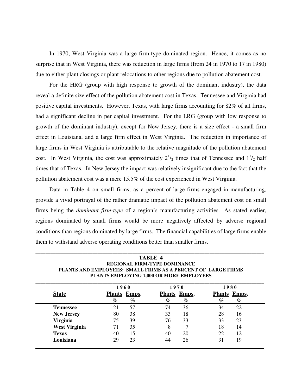In 1970, West Virginia was a large firm-type dominated region. Hence, it comes as no surprise that in West Virginia, there was reduction in large firms (from 24 in 1970 to 17 in 1980) due to either plant closings or plant relocations to other regions due to pollution abatement cost.

For the HRG (group with high response to growth of the dominant industry), the data reveal a definite size effect of the pollution abatement cost in Texas. Tennessee and Virginia had positive capital investments. However, Texas, with large firms accounting for 82% of all firms, had a significant decline in per capital investment. For the LRG (group with low response to growth of the dominant industry), except for New Jersey, there is a size effect - a small firm effect in Louisiana, and a large firm effect in West Virginia. The reduction in importance of large firms in West Virginia is attributable to the relative magnitude of the pollution abatement cost. In West Virginia, the cost was approximately  $2^{1}/_{2}$  times that of Tennessee and  $1^{1}/_{2}$  half times that of Texas. In New Jersey the impact was relatively insignificant due to the fact that the pollution abatement cost was a mere 15.5% of the cost experienced in West Virginia.

Data in Table 4 on small firms, as a percent of large firms engaged in manufacturing, provide a vivid portrayal of the rather dramatic impact of the pollution abatement cost on small firms being the *dominant firm-type* of a region's manufacturing activities. As stated earlier, regions dominated by small firms would be more negatively affected by adverse regional conditions than regions dominated by large firms. The financial capabilities of large firms enable them to withstand adverse operating conditions better than smaller firms.

|                      | 1960                |      | 1970         |      | 1980         |      |
|----------------------|---------------------|------|--------------|------|--------------|------|
| <b>State</b>         | <b>Plants</b> Emps. |      | Plants Emps. |      | Plants Emps. |      |
|                      | $\%$                | $\%$ | %            | $\%$ | $\%$         | $\%$ |
| <b>Tennessee</b>     | 121                 | 57   | 74           | 36   | 34           | 22   |
| <b>New Jersey</b>    | 80                  | 38   | 33           | 18   | 28           | 16   |
| <b>Virginia</b>      | 75                  | 39   | 76           | 33   | 33           | 23   |
| <b>West Virginia</b> | 71                  | 35   | 8            |      | 18           | 14   |
| <b>Texas</b>         | 40                  | 15   | 40           | 20   | 22           | 12   |
| Louisiana            | 29                  | 23   | 44           | 26   | 31           | 19   |

**TABLE 4 REGIONAL FIRM-TYPE DOMINANCE PLANTS AND EMPLOYEES: SMALL FIRMS AS A PERCENT OF LARGE FIRMS** 

**\_\_\_\_\_\_\_\_\_\_\_\_\_\_\_\_\_\_\_\_\_\_\_\_\_\_\_\_\_\_\_\_\_\_\_\_\_\_\_\_\_\_\_\_\_\_\_\_\_\_\_\_\_\_\_\_\_\_\_\_\_\_\_\_\_\_\_\_\_\_\_\_\_\_\_\_\_\_\_\_\_\_\_\_\_\_\_\_\_\_\_\_**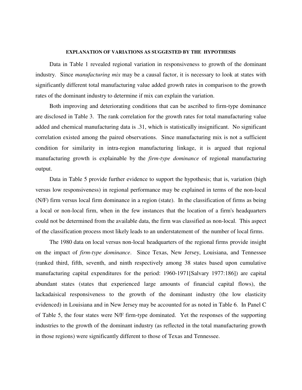#### **EXPLANATION OF VARIATIONS AS SUGGESTED BY THE HYPOTHESIS**

Data in Table 1 revealed regional variation in responsiveness to growth of the dominant industry. Since *manufacturing mix* may be a causal factor, it is necessary to look at states with significantly different total manufacturing value added growth rates in comparison to the growth rates of the dominant industry to determine if mix can explain the variation.

Both improving and deteriorating conditions that can be ascribed to firm-type dominance are disclosed in Table 3. The rank correlation for the growth rates for total manufacturing value added and chemical manufacturing data is .31, which is statistically insignificant. No significant correlation existed among the paired observations. Since manufacturing mix is not a sufficient condition for similarity in intra-region manufacturing linkage, it is argued that regional manufacturing growth is explainable by the *firm-type dominance* of regional manufacturing output.

Data in Table 5 provide further evidence to support the hypothesis; that is, variation (high versus low responsiveness) in regional performance may be explained in terms of the non-local (N/F) firm versus local firm dominance in a region (state). In the classification of firms as being a local or non-local firm, when in the few instances that the location of a firm's headquarters could not be determined from the available data, the firm was classified as non-local. This aspect of the classification process most likely leads to an understatement of the number of local firms.

The 1980 data on local versus non-local headquarters of the regional firms provide insight on the impact of *firm-type dominance*. Since Texas, New Jersey, Louisiana, and Tennessee (ranked third, fifth, seventh, and ninth respectively among 38 states based upon cumulative manufacturing capital expenditures for the period: 1960-1971[Salvary 1977:186]) are capital abundant states (states that experienced large amounts of financial capital flows), the lackadaisical responsiveness to the growth of the dominant industry (the low elasticity evidenced) in Louisiana and in New Jersey may be accounted for as noted in Table 6. In Panel C of Table 5, the four states were N/F firm-type dominated. Yet the responses of the supporting industries to the growth of the dominant industry (as reflected in the total manufacturing growth in those regions) were significantly different to those of Texas and Tennessee.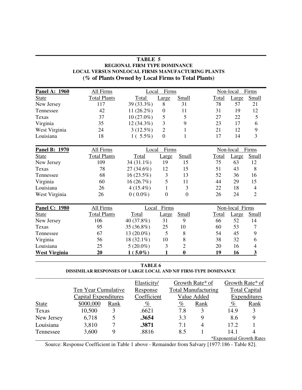| <b>Panel A: 1960</b> | All Firms           | Local        | Firms            |                |       | Non-local       | Firms          |
|----------------------|---------------------|--------------|------------------|----------------|-------|-----------------|----------------|
| <b>State</b>         | <b>Total Plants</b> | Total        | Large            | Small          | Total | Large           | Small          |
| New Jersey           | 117                 | 39 (33.3%)   | 8                | 31             | 78    | 57              | 21             |
| Tennessee            | 42                  | $11(26.2\%)$ | $\boldsymbol{0}$ | 11             | 31    | 19              | 12             |
| Texas                | 37                  | $10(27.0\%)$ | 5                | 5              | 27    | 22              | 5              |
| Virginia             | 35                  | 12 (34.3%)   | 3                | 9              | 23    | 17              | 6              |
| West Virginia        | 24                  | $3(12.5\%)$  | $\overline{2}$   | 1              | 21    | 12              | 9              |
| Louisiana            | 18                  | $1(5.5\%)$   | $\overline{0}$   | 1              | 17    | 14              | 3              |
| <b>Panel B: 1970</b> | All Firms           | Local        | Firms            |                |       | Non-local       | Firms          |
| State                | <b>Total Plants</b> | Total        | Large            | Small          | Total | Large           | Small          |
| New Jersey           | 109                 | 34 (31.1%)   | 19               | 15             | 75    | 63              | 12             |
| Texas                | 78                  | 27 (34.6%)   | 12               | 15             | 51    | 43              | 8              |
| Tennessee            | 68                  | 16 (23.5%)   | 3                | 13             | 52    | 36              | 16             |
| Virginia             | 60                  | 16(26.7%)    | 5                | 11             | 44    | 29              | 15             |
| Louisiana            | 26                  | $4(15.4\%)$  | 1                | 3              | 22    | 18              | $\overline{4}$ |
| West Virginia        | 26                  | $0(0.0\%)$   | $\overline{0}$   | $\overline{0}$ | 26    | 24              | $\overline{2}$ |
| <b>Panel C: 1980</b> | All Firms           | Local        | Firms            |                |       | Non-local Firms |                |
| <b>State</b>         | <b>Total Plants</b> | Total        | Large            | <b>Small</b>   | Total | Large           | Small          |
| New Jersey           | 106                 | 40 (37.8%)   | 31               | 9              | 66    | 52              | 14             |
| Texas                | 95                  | 35 (36.8%)   | 25               | 10             | 60    | 53              | 7              |
| Tennessee            | 67                  | 13 (20.0%)   | 5                | 8              | 54    | 45              | 9              |
| Virginia             | 56                  | 18 (32.1%)   | 10               | 8              | 38    | 32              | 6              |
| Louisiana            | 25                  | $5(20.0\%)$  | 3                | $\overline{2}$ | 20    | 16              | $\overline{4}$ |
| <b>West Virginia</b> | 20                  | $1(5.0\%)$   | 1                | $\bf{0}$       | 19    | 16              | 3              |

## **TABLE 5 REGIONAL FIRM TYPE DOMINANCE LOCAL VERSUS NONLOCAL FIRMS MANUFACTURING PLANTS (% of Plants Owned by Local Firms to Total Plants)**

**\_\_\_\_\_\_\_\_\_\_\_\_\_\_\_\_\_\_\_\_\_\_\_\_\_\_\_\_\_\_\_\_\_\_\_\_\_\_\_\_\_\_\_\_\_\_\_\_\_\_\_\_\_\_\_\_\_\_\_\_\_\_\_\_\_\_\_\_\_\_\_\_\_\_\_\_\_\_**

## **TABLE 6**

## **DISSIMILAR RESPONSES OF LARGE LOCAL AND N/F FIRM-TYPE DOMINANCE**

|              |                      |      | Elasticity/ |      | Growth Rate* of            |                           | Growth Rate* of      |
|--------------|----------------------|------|-------------|------|----------------------------|---------------------------|----------------------|
|              | Ten Year Cumulative  |      | Response    |      | <b>Total Manufacturing</b> |                           | <b>Total Capital</b> |
|              | Capital Expenditures |      | Coefficient |      | Value Added                |                           | Expenditures         |
| <b>State</b> | \$000,000            | Rank | $\%$        | $\%$ | Rank                       | $\%$                      | Rank                 |
| Texas        | 10,500               | 3    | .6621       | 7.8  | 3                          | 14.9                      | 3                    |
| New Jersey   | 6,718                |      | .3654       | 3.3  | 9                          | 8.6                       | 9                    |
| Louisiana    | 3,810                |      | .3871       | 7.1  | 4                          | 17.2                      |                      |
| Tennessee    | 3,600                | 9    | .8816       | 8.5  |                            | 14.1                      |                      |
|              |                      |      |             |      |                            | *Exponential Growth Rates |                      |

Source: Response Coefficient in Table 1 above - Remainder from Salvary [1977:186 - Table 82].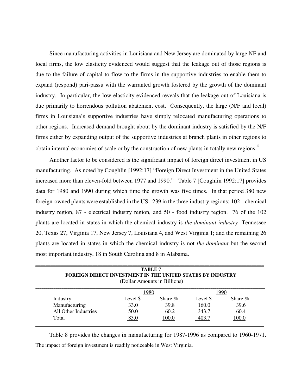Since manufacturing activities in Louisiana and New Jersey are dominated by large NF and local firms, the low elasticity evidenced would suggest that the leakage out of those regions is due to the failure of capital to flow to the firms in the supportive industries to enable them to expand (respond) pari-passu with the warranted growth fostered by the growth of the dominant industry. In particular, the low elasticity evidenced reveals that the leakage out of Louisiana is due primarily to horrendous pollution abatement cost. Consequently, the large (N/F and local) firms in Louisiana's supportive industries have simply relocated manufacturing operations to other regions. Increased demand brought about by the dominant industry is satisfied by the N/F firms either by expanding output of the supportive industries at branch plants in other regions to obtain internal economies of scale or by the construction of new plants in totally new regions.<sup>4</sup>

Another factor to be considered is the significant impact of foreign direct investment in US manufacturing. As noted by Coughlin [1992:17] "Foreign Direct Investment in the United States increased more than eleven-fold between 1977 and 1990." Table 7 [Coughlin 1992:17] provides data for 1980 and 1990 during which time the growth was five times. In that period 380 new foreign-owned plants were established in the US - 239 in the three industry regions: 102 - chemical industry region, 87 - electrical industry region, and 50 - food industry region. 76 of the 102 plants are located in states in which the chemical industry is *the dominant industry -*Tennessee 20, Texas 27, Virginia 17, New Jersey 7, Louisiana 4, and West Virginia 1; and the remaining 26 plants are located in states in which the chemical industry is not *the dominant* but the second most important industry, 18 in South Carolina and 8 in Alabama.

| <b>FOREIGN DIRECT INVESTMENT IN THE UNITED STATES BY INDUSTRY</b> |             | TABLE 7                      |          |         |
|-------------------------------------------------------------------|-------------|------------------------------|----------|---------|
|                                                                   |             | (Dollar Amounts in Billions) |          |         |
|                                                                   | <u>1980</u> |                              |          | 1990    |
| Industry                                                          | Level \$    | Share %                      | Level \$ | Share % |
| Manufacturing                                                     | 33.0        | 39.8                         | 160.0    | 39.6    |
| All Other Industries                                              | <u>50.0</u> | 60.2                         | 343.7    | 60.4    |
| Total                                                             | 83.0        | 100.0                        | 403.7    | 100.0   |

Table 8 provides the changes in manufacturing for 1987-1996 as compared to 1960-1971. The impact of foreign investment is readily noticeable in West Virginia.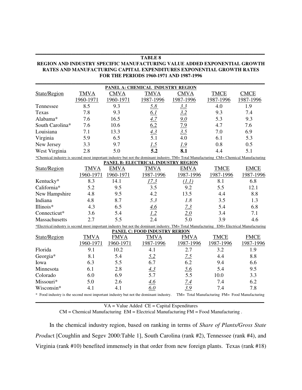## **TABLE 8 REGION AND INDUSTRY SPECIFIC MANUFACTURING VALUE ADDED EXPONENTIAL GROWTH RATES AND MANUFACTURING CAPITAL EXPENDITURES EXPONENTIAL GROWTH RATES FOR THE PERIODS 1960-1971 AND 1987-1996**

**\_\_\_\_\_\_\_\_\_\_\_\_\_\_\_\_\_\_\_\_\_\_\_\_\_\_\_\_\_\_\_\_\_\_\_\_\_\_\_\_\_\_\_\_\_\_\_\_\_\_\_\_\_\_\_\_\_\_\_\_\_\_\_\_\_\_\_\_\_\_\_\_\_\_\_\_\_\_\_\_\_\_\_\_\_\_\_\_\_\_\_\_\_\_\_\_\_\_\_\_\_\_**

|                                                                                                                                            |             |             | PANEL A: CHEMICAL INDUSTRY REGION          |             |                                                |             |
|--------------------------------------------------------------------------------------------------------------------------------------------|-------------|-------------|--------------------------------------------|-------------|------------------------------------------------|-------------|
| State/Region                                                                                                                               | <b>TMVA</b> | <b>CMVA</b> | <b>TMVA</b>                                | <b>CMVA</b> | <b>TMCE</b>                                    | <b>CMCE</b> |
|                                                                                                                                            | 1960-1971   | 1960-1971   | 1987-1996                                  | 1987-1996   | 1987-1996                                      | 1987-1996   |
| Tennessee                                                                                                                                  | 8.5         | 9.3         | 5.8                                        | 3.3         | 4.0                                            | 1.9         |
| Texas                                                                                                                                      | 7.8         | 9.3         | 6.1                                        | 3.2         | 9.3                                            | 7.4         |
| Alabama*                                                                                                                                   | 7.6         | 16.5        | 4.7                                        | 9.0         | 5.3                                            | 9.3         |
| South Carolina*                                                                                                                            | 7.6         | 10.6        | 6.2                                        | 7.9         | 4.7                                            | 7.6         |
| Louisiana                                                                                                                                  | 7.1         | 13.3        | 4.3                                        | 3.5         | 7.0                                            | 6.9         |
| Virginia                                                                                                                                   | 5.9         | 6.5         | $\overline{5.1}$                           | 4.0         | 6.1                                            | 5.3         |
| New Jersey                                                                                                                                 | 3.3         | 9.7         | $\frac{1.5}{5.2}$                          | 1.9         | 0.8                                            | 0.5         |
| West Virginia                                                                                                                              | 2.8         | 5.0         |                                            | 8.1         | 4.4                                            | 5.1         |
| *Chemical industry is second most important industry but not the dominant industry. TM= Total Manufacturing CM= Chemical Manufacturing     |             |             |                                            |             |                                                |             |
|                                                                                                                                            |             |             | <b>PANEL B: ELECTRICAL INDUSTRY REGION</b> |             |                                                |             |
| State/Region                                                                                                                               | <b>TMVA</b> | <b>EMVA</b> | <b>TMVA</b>                                | <b>EMVA</b> | <b>TMCE</b>                                    | <b>EMCE</b> |
|                                                                                                                                            | 1960-1971   | 1960-1971   | 1987-1996                                  | 1987-1996   | 1987-1996                                      | 1987-1996   |
| Kentucky*                                                                                                                                  | 8.3         | 14.1        | 17.3                                       | (1.1)       | 8.1                                            | 6.8         |
| California*                                                                                                                                | 5.2         | 9.5         | 3.5                                        | 9.2         | 5.5                                            | 12.1        |
| New Hampshire                                                                                                                              | 4.8         | 9.5         | 4.2                                        | 13.5        | 4.4                                            | 8.8         |
| Indiana                                                                                                                                    | 4.8         | 8.7         | 5.3                                        | 1.8         | 3.5                                            | 1.3         |
| Illinois*                                                                                                                                  | 4.3         | 6.5         | 4.6                                        | 7.3         | 5.4                                            | 6.8         |
| Connecticut*                                                                                                                               | 3.6         | 5.4         | 1.2                                        | 2.0         | 3.4                                            | 7.1         |
| Massachusetts                                                                                                                              | 2.7         | 5.5         | 2.4                                        | 5.0         | 3.9                                            | 4.6         |
| *Electrical industry is second most important industry but not the dominant industry. TM= Total Manufacturing EM= Electrical Manufacturing |             |             |                                            |             |                                                |             |
|                                                                                                                                            |             |             | PANEL C: FOOD INDUSTRY RERION              |             |                                                |             |
| State/Region                                                                                                                               | <b>TMVA</b> | <b>FMVA</b> | <b>TMVA</b>                                | <b>FMVA</b> | <b>TMCE</b>                                    | <b>FMCE</b> |
|                                                                                                                                            | 1960-1971   | 1960-1971   | 1987-1996                                  | 1987-1996   | 1987-1996                                      | 1987-1996   |
| Florida                                                                                                                                    | 9.1         | 10.2        | 4.1                                        | 2.7         | 3.2                                            | 1.9         |
| Georgia*                                                                                                                                   | 8.1         | 5.4         | 5.2                                        | 7.5         | 4.4                                            | 8.8         |
| Iowa                                                                                                                                       | 6.3         | 5.5         | 6.7                                        | 6.2         | 9.4                                            | 6.6         |
| Minnesota                                                                                                                                  | 6.1         | 2.8         | 4.3                                        | 5.6         | 5.4                                            | 9.5         |
| Colorado                                                                                                                                   | 6.0         | 6.9         | 5.7                                        | 5.5         | 10.0                                           | 3.3         |
| Missouri*                                                                                                                                  | 5.0         | 2.6         | 4.6                                        | 7.4         | 7.4                                            | 6.2         |
| Wisconsin*                                                                                                                                 | 4.1         | 4.1         | 6.0                                        | 3.9         | 7.4                                            | 7.8         |
| * Food industry is the second most important industry but not the dominant industry.                                                       |             |             |                                            |             | TM= Total Manufacturing FM= Food Manufacturing |             |

VA = Value Added CE = Capital Expenditures

CM = Chemical Manufacturing EM = Electrical Manufacturing FM = Food Manufacturing .

In the chemical industry region, based on ranking in terms of *Share of Plants/Gross State Produc*t [Coughlin and Segev 2000:Table 1], South Carolina (rank #2), Tennessee (rank #4), and Virginia (rank #10) benefited immensely in that order from new foreign plants. Texas (rank #18)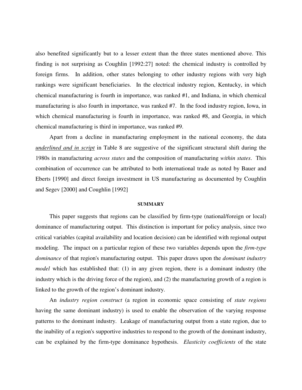also benefited significantly but to a lesser extent than the three states mentioned above. This finding is not surprising as Coughlin [1992:27] noted: the chemical industry is controlled by foreign firms. In addition, other states belonging to other industry regions with very high rankings were significant beneficiaries. In the electrical industry region, Kentucky, in which chemical manufacturing is fourth in importance, was ranked #1, and Indiana, in which chemical manufacturing is also fourth in importance, was ranked #7. In the food industry region, Iowa, in which chemical manufacturing is fourth in importance, was ranked #8, and Georgia, in which chemical manufacturing is third in importance, was ranked #9.

Apart from a decline in manufacturing employment in the national economy, the data *underlined and in script* in Table 8 are suggestive of the significant structural shift during the 1980s in manufacturing *across states* and the composition of manufacturing *within states*. This combination of occurrence can be attributed to both international trade as noted by Bauer and Eberts [1990] and direct foreign investment in US manufacturing as documented by Coughlin and Segev [2000] and Coughlin [1992]

#### **SUMMARY**

This paper suggests that regions can be classified by firm-type (national/foreign or local) dominance of manufacturing output. This distinction is important for policy analysis, since two critical variables (capital availability and location decision) can be identified with regional output modeling. The impact on a particular region of these two variables depends upon the *firm-type dominance* of that region's manufacturing output. This paper draws upon the *dominant industry model* which has established that: (1) in any given region, there is a dominant industry (the industry which is the driving force of the region), and (2) the manufacturing growth of a region is linked to the growth of the region's dominant industry.

An *industry region construct* (a region in economic space consisting of *state regions*  having the same dominant industry) is used to enable the observation of the varying response patterns to the dominant industry. Leakage of manufacturing output from a state region, due to the inability of a region's supportive industries to respond to the growth of the dominant industry, can be explained by the firm-type dominance hypothesis. *Elasticity coefficients* of the state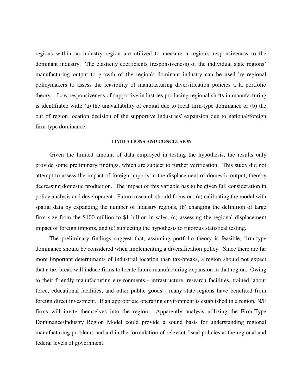regions within an industry region are utilized to measure a region's responsiveness to the dominant industry. The elasticity coefficients (responsiveness) of the individual state regions' manufacturing output to growth of the region's dominant industry can be used by regional policymakers to assess the feasibility of manufacturing diversification policies a la portfolio theory. Low responsiveness of supportive industries producing regional shifts in manufacturing is identifiable with: (a) the unavailability of capital due to local firm-type dominance or (b) the out of region location decision of the supportive industries' expansion due to national/foreign firm-type dominance.

## **LIMITATIONS AND CONCLUSION**

Given the limited amount of data employed in testing the hypothesis, the results only provide some preliminary findings, which are subject to further verification. This study did not attempt to assess the impact of foreign imports in the displacement of domestic output, thereby decreasing domestic production. The impact of this variable has to be given full consideration in policy analysis and development. Future research should focus on: (a) calibrating the model with spatial data by expanding the number of industry regions, (b) changing the definition of large firm size from the \$100 million to \$1 billion in sales, (c) assessing the regional displacement impact of foreign imports, and (c) subjecting the hypothesis to rigorous statistical testing.

The preliminary findings suggest that, assuming portfolio theory is feasible, firm-type dominance should be considered when implementing a diversification policy. Since there are far more important determinants of industrial location than tax-breaks, a region should not expect that a tax-break will induce firms to locate future manufacturing expansion in that region. Owing to their friendly manufacturing environments - infrastructure, research facilities, trained labour force, educational facilities, and other public goods - many state-regions have benefited from foreign direct investment. If an appropriate operating environment is established in a region, N/F firms will invite themselves into the region. Apparently analysis utilizing the Firm-Type Dominance/Industry Region Model could provide a sound basis for understanding regional manufacturing problems and aid in the formulation of relevant fiscal policies at the regional and federal levels of government.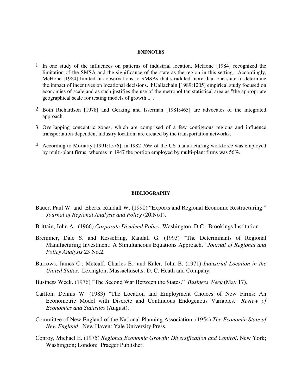#### **ENDNOTES**

- $1$  In one study of the influences on patterns of industrial location, McHone [1984] recognized the limitation of the SMSA and the significance of the state as the region in this setting. Accordingly, McHone [1984] limited his observations to SMSAs that straddled more than one state to determine the impact of incentives on locational decisions. hUallachain [1989:1205] empirical study focused on economies of scale and as such justifies the use of the metropolitan statistical area as "the appropriate geographical scale for testing models of growth ... ."
- 2 Both Richardson [1978] and Gerking and Isserman [1981:465] are advocates of the integrated approach.
- 3 Overlapping concentric zones, which are comprised of a few contiguous regions and influence transportation-dependent industry location, are created by the transportation networks.
- 4 According to Moriarty [1991:1576], in 1982 76% of the US manufacturing workforce was employed by multi-plant firms; whereas in 1947 the portion employed by multi-plant firms was 56%.

#### **BIBLIOGRAPHY**

- Bauer, Paul W. and Eberts, Randall W. (1990) "Exports and Regional Economic Restructuring." *Journal of Regional Analysis and Policy* (20.No1).
- Brittain, John A. (1966) *Corporate Dividend Policy*. Washington, D.C.: Brookings Institution.
- Bremmer, Dale S. and Kesselring, Randall G. (1993) "The Determinants of Regional Manufacturing Investment: A Simultaneous Equations Approach." *Journal of Regional and Policy Analysis* 23 No.2.
- Burrows, James C.; Metcalf, Charles E.; and Kaler, John B. (1971) *Industrial Location in the United States*. Lexington, Massachusetts: D. C. Heath and Company.
- Business Week. (1976) "The Second War Between the States." *Business Week* (May 17).
- Carlton, Dennis W. (1983) "The Location and Employment Choices of New Firms: An Econometric Model with Discrete and Continuous Endogenous Variables." *Review of Economics and Statistics* (August).
- Committee of New England of the National Planning Association. (1954) *The Economic State of New England*. New Haven: Yale University Press.
- Conroy, Michael E. (1975) *Regional Economic Growth: Diversification and Control*. New York; Washington; London: Praeger Publisher.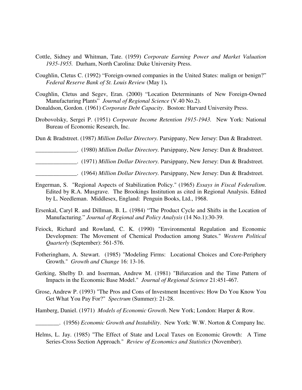- Cottle, Sidney and Whitman, Tate. (1959) *Corporate Earning Power and Market Valuation 1935-1955.* Durham, North Carolina: Duke University Press.
- Coughlin, Cletus C. (1992) "Foreign-owned companies in the United States: malign or benign?" *Federal Reserve Bank of St. Louis Review* (May 1)**.**

Coughlin, Cletus and Segev, Eran. (2000) "Location Determinants of New Foreign-Owned Manufacturing Plants" *Journal of Regional Science* (V.40 No.2).

Donaldson, Gordon. (1961) *Corporate Debt Capacity*. Boston: Harvard University Press.

Drobovolsky, Sergei P. (1951) *Corporate Income Retention 1915-1943.* New York: National Bureau of Economic Research, Inc.

Dun & Bradstreet. (1987) *Million Dollar Directory.* Parsippany, New Jersey: Dun & Bradstreet.

\_\_\_\_\_\_\_\_\_\_\_\_\_\_. (1980) *Million Dollar Directory.* Parsippany, New Jersey: Dun & Bradstreet.

\_\_\_\_\_\_\_\_\_\_\_\_\_\_. (1971) *Million Dollar Directory.* Parsippany, New Jersey: Dun & Bradstreet.

\_\_\_\_\_\_\_\_\_\_\_\_\_\_. (1964) *Million Dollar Directory.* Parsippany, New Jersey: Dun & Bradstreet.

- Engerman, S. "Regional Aspects of Stabilization Policy." (1965) *Essays in Fiscal Federalism*. Edited by R.A. Musgrave. The Brookings Institution as cited in Regional Analysis. Edited by L. Needleman. Middlesex, England: Penguin Books, Ltd., 1968.
- Ersenkal, Caryl R. and Dillman, B. L. (1984) "The Product Cycle and Shifts in the Location of Manufacturing." *Journal of Regional and Policy Analysis* (14 No.1):30-39.
- Feiock, Richard and Rowland, C. K. (1990) "Environmental Regulation and Economic Developmen: The Movement of Chemical Production among States." *Western Political Quarterly* (September): 561-576.
- Fotheringham, A. Stewart. (1985) "Modeling Firms: Locational Choices and Core-Periphery Growth." *Growth and Change* 16: 13-16.
- Gerking, Shelby D. and Isserman, Andrew M. (1981) "Bifurcation and the Time Pattern of Impacts in the Economic Base Model." *Journal of Regional Science* 21:451-467.
- Grose, Andrew P. (1993) "The Pros and Cons of Investment Incentives: How Do You Know You Get What You Pay For?" *Spectrum* (Summer): 21-28.
- Hamberg, Daniel. (1971) *Models of Economic Growth*. New York; London: Harper & Row.
	- \_\_\_\_\_\_\_\_. (1956) *Economic Growth and Instability*. New York: W.W. Norton & Company Inc.
- Helms, L. Jay. (1985) "The Effect of State and Local Taxes on Economic Growth: A Time Series-Cross Section Approach." *Review of Economics and Statistics* (November).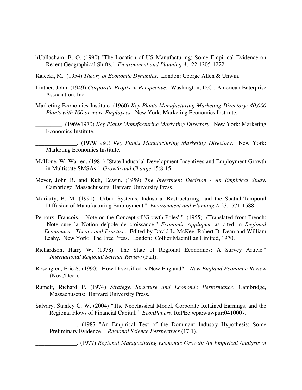- hUallachain, B. O. (1990) "The Location of US Manufacturing: Some Empirical Evidence on Recent Geographical Shifts." *Environment and Planning A*. 22:1205-1222.
- Kalecki, M. (1954) *Theory of Economic Dynamics*. London: George Allen & Unwin.
- Lintner, John. (1949) *Corporate Profits in Perspective*. Washington, D.C.: American Enterprise Association, Inc.
- Marketing Economics Institute*.* (1960) *Key Plants Manufacturing Marketing Directory: 40,000 Plants with 100 or more Employees*. New York: Marketing Economics Institute.
	- \_\_\_\_\_\_\_\_\_. (1969/1970) *Key Plants Manufacturing Marketing Directory*. New York: Marketing Economics Institute.
- \_\_\_\_\_\_\_\_\_\_\_\_\_\_. (1979/1980) *Key Plants Manufacturing Marketing Directory*. New York: Marketing Economics Institute.
- McHone, W. Warren. (1984) "State Industrial Development Incentives and Employment Growth in Multistate SMSAs." *Growth and Change* 15:8-15.
- Meyer, John R. and Kuh, Edwin. (1959) *The Investment Decision An Empirical Study*. Cambridge, Massachusetts: Harvard University Press.
- Moriarty, B. M. (1991) "Urban Systems, Industrial Restructuring, and the Spatial-Temporal Diffusion of Manufacturing Employment." *Environment and Planning A* 23:1571-1588.
- Perroux, Francois. "Note on the Concept of 'Growth Poles' ". (1955) (Translated from French: "Note sure la Notion de'pole de croissance." *Economie Appliquee* as cited in *Regional Economics: Theory and Practice*. Edited by David L. McKee, Robert D. Dean and William Leahy. New York: The Free Press. London: Collier Macmillan Limited, 1970.
- Richardson, Harry W. (1978) "The State of Regional Economics: A Survey Article." *International Regional Science Review* (Fall).
- Rosengren, Eric S. (1990) "How Diversified is New England?" *New England Economic Review* (Nov./Dec.).
- Rumelt, Richard P. (1974) *Strategy, Structure and Economic Performance*. Cambridge, Massachusetts: Harvard University Press.
- Salvary, Stanley C. W. (2004) "The Neoclassical Model, Corporate Retained Earnings, and the Regional Flows of Financial Capital." *EconPapers*. RePEc:wpa:wuwpur:0410007.

\_\_\_\_\_\_\_\_\_\_\_\_\_\_. (1987 "An Empirical Test of the Dominant Industry Hypothesis: Some Preliminary Evidence." *Regional Science Perspectives* (17:1).

\_\_\_\_\_\_\_\_\_\_\_\_\_\_. (1977) *Regional Manufacturing Economic Growth: An Empirical Analysis of*